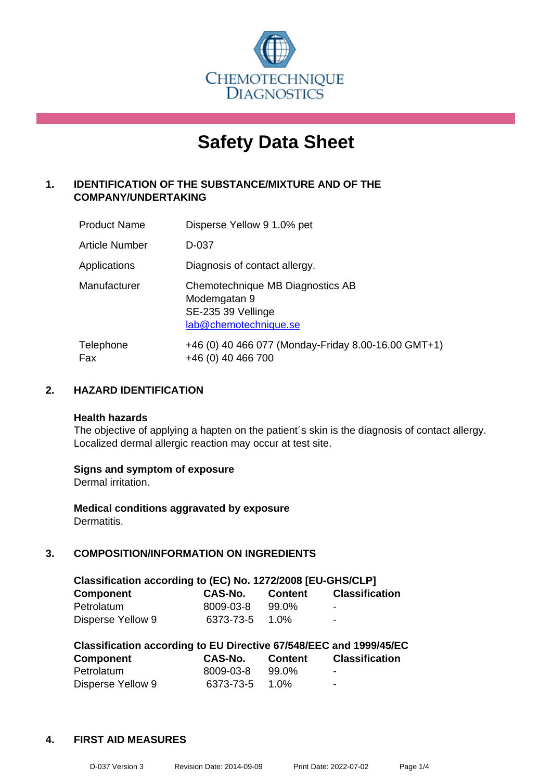

# **Safety Data Sheet**

# **1. IDENTIFICATION OF THE SUBSTANCE/MIXTURE AND OF THE COMPANY/UNDERTAKING**

| <b>Product Name</b> | Disperse Yellow 9 1.0% pet                                                                      |
|---------------------|-------------------------------------------------------------------------------------------------|
| Article Number      | D-037                                                                                           |
| Applications        | Diagnosis of contact allergy.                                                                   |
| Manufacturer        | Chemotechnique MB Diagnostics AB<br>Modemgatan 9<br>SE-235 39 Vellinge<br>lab@chemotechnique.se |
| Telephone<br>Fax    | +46 (0) 40 466 077 (Monday-Friday 8.00-16.00 GMT+1)<br>+46 (0) 40 466 700                       |

# **2. HAZARD IDENTIFICATION**

#### **Health hazards**

The objective of applying a hapten on the patient's skin is the diagnosis of contact allergy. Localized dermal allergic reaction may occur at test site.

#### **Signs and symptom of exposure**

Dermal irritation.

**Medical conditions aggravated by exposure** Dermatitis.

# **3. COMPOSITION/INFORMATION ON INGREDIENTS**

| Classification according to (EC) No. 1272/2008 [EU-GHS/CLP] |                |                |                |  |
|-------------------------------------------------------------|----------------|----------------|----------------|--|
| <b>Component</b>                                            | <b>CAS-No.</b> | <b>Content</b> | Classification |  |
| Petrolatum                                                  | 8009-03-8      | 99.0%          | -              |  |
| Disperse Yellow 9                                           | 6373-73-5      | 1.0%           | $\blacksquare$ |  |

| Classification according to EU Directive 67/548/EEC and 1999/45/EC |                |         |                          |  |  |
|--------------------------------------------------------------------|----------------|---------|--------------------------|--|--|
| Component                                                          | CAS-No.        | Content | <b>Classification</b>    |  |  |
| Petrolatum                                                         | 8009-03-8      | 99.0%   | $\overline{\phantom{0}}$ |  |  |
| Disperse Yellow 9                                                  | 6373-73-5 1.0% |         | $\blacksquare$           |  |  |

#### **4. FIRST AID MEASURES**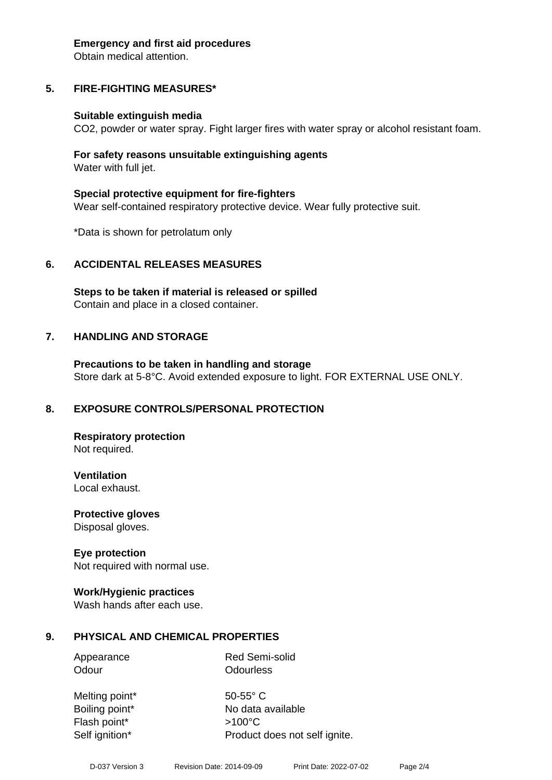#### **Emergency and first aid procedures**

Obtain medical attention.

# **5. FIRE-FIGHTING MEASURES\***

#### **Suitable extinguish media**

CO2, powder or water spray. Fight larger fires with water spray or alcohol resistant foam.

#### **For safety reasons unsuitable extinguishing agents** Water with full jet.

**Special protective equipment for fire-fighters** Wear self-contained respiratory protective device. Wear fully protective suit.

\*Data is shown for petrolatum only

# **6. ACCIDENTAL RELEASES MEASURES**

**Steps to be taken if material is released or spilled** Contain and place in a closed container.

#### **7. HANDLING AND STORAGE**

**Precautions to be taken in handling and storage** Store dark at 5-8°C. Avoid extended exposure to light. FOR EXTERNAL USE ONLY.

#### **8. EXPOSURE CONTROLS/PERSONAL PROTECTION**

**Respiratory protection** Not required.

**Ventilation**

Local exhaust.

**Protective gloves** Disposal gloves.

#### **Eye protection**

Not required with normal use.

#### **Work/Hygienic practices**

Wash hands after each use.

#### **9. PHYSICAL AND CHEMICAL PROPERTIES**

Appearance Red Semi-solid Odour **Odourless** 

Melting point\* 50-55° C Flash point\* >100°C

Boiling point\* No data available Self ignition\* Product does not self ignite.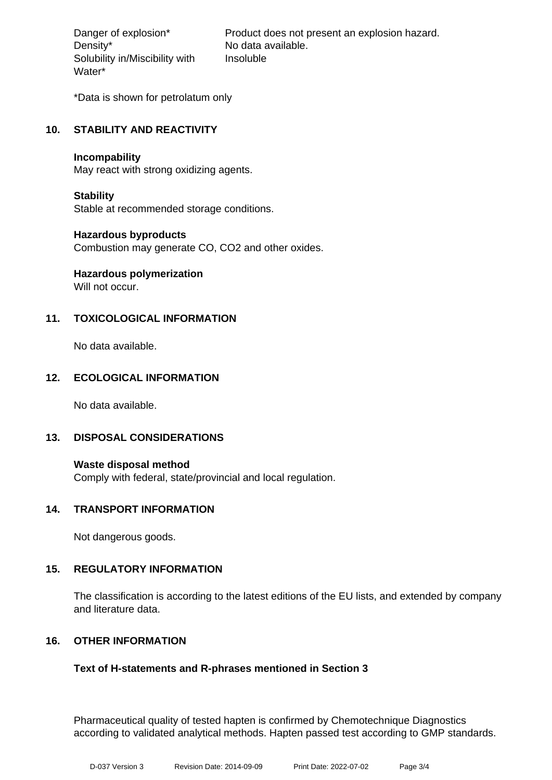Density\* No data available. Solubility in/Miscibility with Water\*

Danger of explosion\* Product does not present an explosion hazard. Insoluble

\*Data is shown for petrolatum only

# **10. STABILITY AND REACTIVITY**

#### **Incompability**

May react with strong oxidizing agents.

#### **Stability**

Stable at recommended storage conditions.

#### **Hazardous byproducts**

Combustion may generate CO, CO2 and other oxides.

# **Hazardous polymerization**

Will not occur.

# **11. TOXICOLOGICAL INFORMATION**

No data available.

#### **12. ECOLOGICAL INFORMATION**

No data available.

#### **13. DISPOSAL CONSIDERATIONS**

**Waste disposal method** Comply with federal, state/provincial and local regulation.

#### **14. TRANSPORT INFORMATION**

Not dangerous goods.

#### **15. REGULATORY INFORMATION**

The classification is according to the latest editions of the EU lists, and extended by company and literature data.

#### **16. OTHER INFORMATION**

#### **Text of H-statements and R-phrases mentioned in Section 3**

Pharmaceutical quality of tested hapten is confirmed by Chemotechnique Diagnostics according to validated analytical methods. Hapten passed test according to GMP standards.